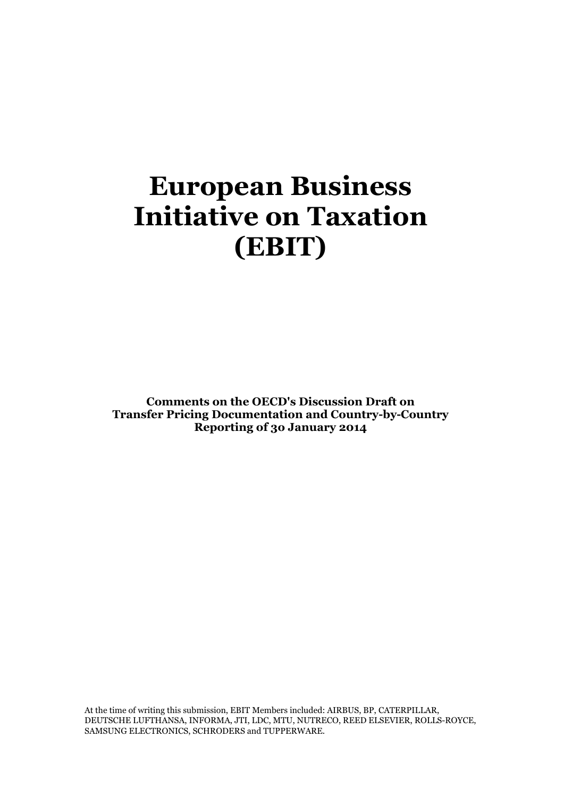# **European Business Initiative on Taxation (EBIT)**

**Comments on the OECD's Discussion Draft on Transfer Pricing Documentation and Country-by-Country Reporting of 3o January 2014**

At the time of writing this submission, EBIT Members included: AIRBUS, BP, CATERPILLAR, DEUTSCHE LUFTHANSA, INFORMA, JTI, LDC, MTU, NUTRECO, REED ELSEVIER, ROLLS-ROYCE, SAMSUNG ELECTRONICS, SCHRODERS and TUPPERWARE.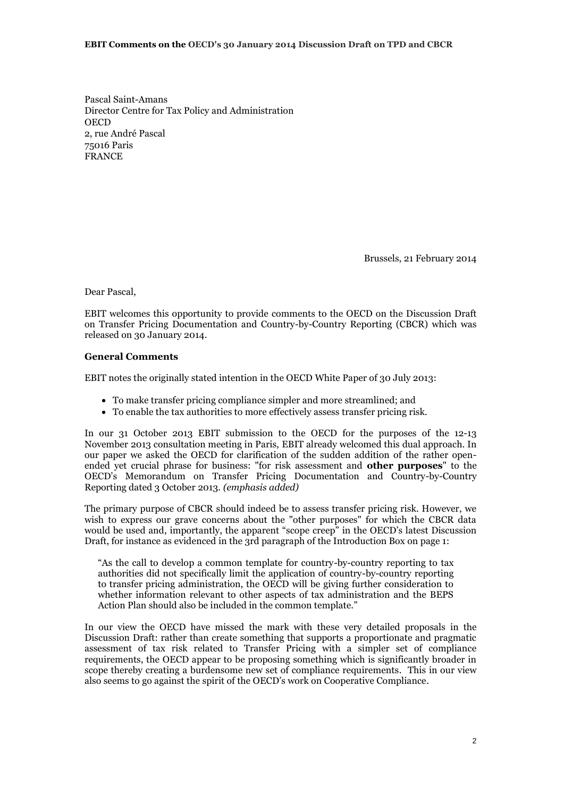#### **EBIT Comments on the OECD's 30 January 2014 Discussion Draft on TPD and CBCR**

Pascal Saint-Amans Director Centre for Tax Policy and Administration **OECD** 2, rue André Pascal 75016 Paris FRANCE

Brussels, 21 February 2014

Dear Pascal,

EBIT welcomes this opportunity to provide comments to the OECD on the Discussion Draft on Transfer Pricing Documentation and Country-by-Country Reporting (CBCR) which was released on 30 January 2014.

# **General Comments**

EBIT notes the originally stated intention in the OECD White Paper of 30 July 2013:

- To make transfer pricing compliance simpler and more streamlined; and
- To enable the tax authorities to more effectively assess transfer pricing risk.

In our 31 October 2013 EBIT submission to the OECD for the purposes of the 12-13 November 2013 consultation meeting in Paris, EBIT already welcomed this dual approach. In our paper we asked the OECD for clarification of the sudden addition of the rather openended yet crucial phrase for business: "for risk assessment and **other purposes**" to the OECD's Memorandum on Transfer Pricing Documentation and Country-by-Country Reporting dated 3 October 2013. *(emphasis added)*

The primary purpose of CBCR should indeed be to assess transfer pricing risk. However, we wish to express our grave concerns about the "other purposes" for which the CBCR data would be used and, importantly, the apparent "scope creep" in the OECD's latest Discussion Draft, for instance as evidenced in the 3rd paragraph of the Introduction Box on page 1:

"As the call to develop a common template for country-by-country reporting to tax authorities did not specifically limit the application of country-by-country reporting to transfer pricing administration, the OECD will be giving further consideration to whether information relevant to other aspects of tax administration and the BEPS Action Plan should also be included in the common template."

In our view the OECD have missed the mark with these very detailed proposals in the Discussion Draft: rather than create something that supports a proportionate and pragmatic assessment of tax risk related to Transfer Pricing with a simpler set of compliance requirements, the OECD appear to be proposing something which is significantly broader in scope thereby creating a burdensome new set of compliance requirements. This in our view also seems to go against the spirit of the OECD's work on Cooperative Compliance.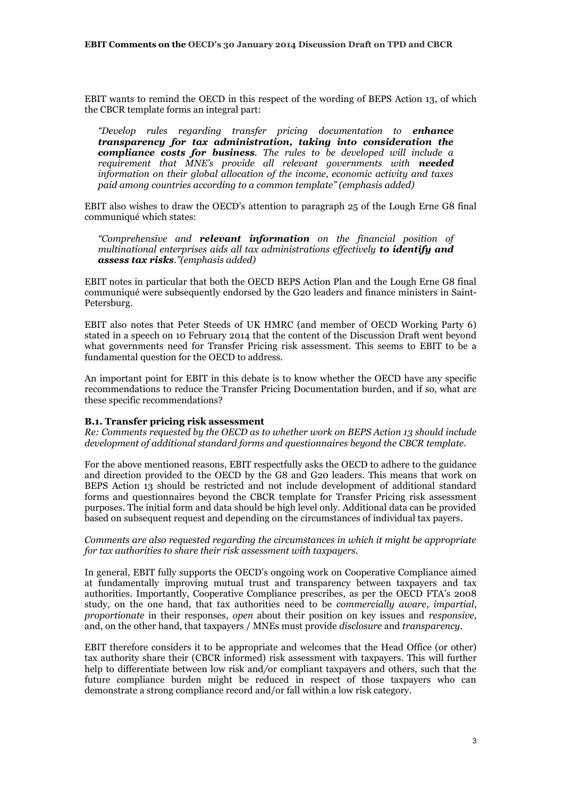EBIT wants to remind the OECD in this respect of the wording of BEPS Action 13, of which the CBCR template forms an integral part:

*"Develop rules regarding transfer pricing documentation to enhance transparency for tax administration, taking into consideration the compliance costs for business. The rules to be developed will include a requirement that MNE's provide all relevant governments with needed information on their global allocation of the income, economic activity and taxes paid among countries according to a common template" (emphasis added)*

EBIT also wishes to draw the OECD's attention to paragraph 25 of the Lough Erne G8 final communiqué which states:

*"Comprehensive and relevant information on the financial position of multinational enterprises aids all tax administrations effectively to identify and assess tax risks."(emphasis added)*

EBIT notes in particular that both the OECD BEPS Action Plan and the Lough Erne G8 final communiqué were subsequently endorsed by the G20 leaders and finance ministers in Saint-Petersburg.

EBIT also notes that Peter Steeds of UK HMRC (and member of OECD Working Party 6) stated in a speech on 10 February 2014 that the content of the Discussion Draft went beyond what governments need for Transfer Pricing risk assessment. This seems to EBIT to be a fundamental question for the OECD to address.

An important point for EBIT in this debate is to know whether the OECD have any specific recommendations to reduce the Transfer Pricing Documentation burden, and if so, what are these specific recommendations?

#### **B.1. Transfer pricing risk assessment**

*Re: Comments requested by the OECD as to whether work on BEPS Action 13 should include development of additional standard forms and questionnaires beyond the CBCR template.* 

For the above mentioned reasons, EBIT respectfully asks the OECD to adhere to the guidance and direction provided to the OECD by the G8 and G20 leaders. This means that work on BEPS Action 13 should be restricted and not include development of additional standard forms and questionnaires beyond the CBCR template for Transfer Pricing risk assessment purposes. The initial form and data should be high level only. Additional data can be provided based on subsequent request and depending on the circumstances of individual tax payers.

#### *Comments are also requested regarding the circumstances in which it might be appropriate for tax authorities to share their risk assessment with taxpayers.*

In general, EBIT fully supports the OECD's ongoing work on Cooperative Compliance aimed at fundamentally improving mutual trust and transparency between taxpayers and tax authorities. Importantly, Cooperative Compliance prescribes, as per the OECD FTA's 2008 study, on the one hand, that tax authorities need to be *commercially aware*, *impartial*, *proportionate* in their responses, *open* about their position on key issues and *responsive,*  and, on the other hand, that taxpayers / MNEs must provide *disclosure* and *transparency*.

EBIT therefore considers it to be appropriate and welcomes that the Head Office (or other) tax authority share their (CBCR informed) risk assessment with taxpayers. This will further help to differentiate between low risk and*/*or compliant taxpayers and others, such that the future compliance burden might be reduced in respect of those taxpayers who can demonstrate a strong compliance record and/or fall within a low risk category.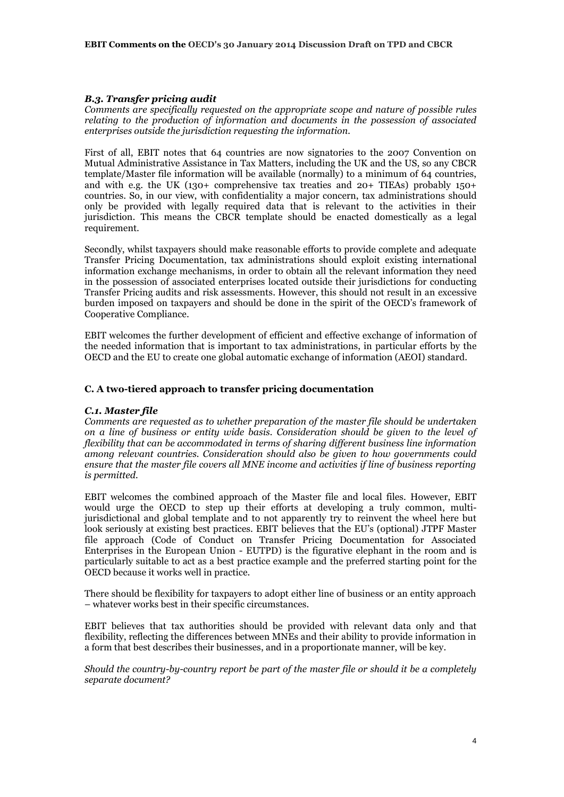## *B.3. Transfer pricing audit*

*Comments are specifically requested on the appropriate scope and nature of possible rules relating to the production of information and documents in the possession of associated enterprises outside the jurisdiction requesting the information.*

First of all, EBIT notes that 64 countries are now signatories to the 2007 Convention on Mutual Administrative Assistance in Tax Matters, including the UK and the US, so any CBCR template/Master file information will be available (normally) to a minimum of 64 countries, and with e.g. the UK (130+ comprehensive tax treaties and 20+ TIEAs) probably 150+ countries. So, in our view, with confidentiality a major concern, tax administrations should only be provided with legally required data that is relevant to the activities in their jurisdiction. This means the CBCR template should be enacted domestically as a legal requirement.

Secondly, whilst taxpayers should make reasonable efforts to provide complete and adequate Transfer Pricing Documentation, tax administrations should exploit existing international information exchange mechanisms, in order to obtain all the relevant information they need in the possession of associated enterprises located outside their jurisdictions for conducting Transfer Pricing audits and risk assessments. However, this should not result in an excessive burden imposed on taxpayers and should be done in the spirit of the OECD's framework of Cooperative Compliance.

EBIT welcomes the further development of efficient and effective exchange of information of the needed information that is important to tax administrations, in particular efforts by the OECD and the EU to create one global automatic exchange of information (AEOI) standard.

#### **C. A two-tiered approach to transfer pricing documentation**

#### *C.1. Master file*

*Comments are requested as to whether preparation of the master file should be undertaken on a line of business or entity wide basis. Consideration should be given to the level of flexibility that can be accommodated in terms of sharing different business line information among relevant countries. Consideration should also be given to how governments could ensure that the master file covers all MNE income and activities if line of business reporting is permitted.*

EBIT welcomes the combined approach of the Master file and local files. However, EBIT would urge the OECD to step up their efforts at developing a truly common, multijurisdictional and global template and to not apparently try to reinvent the wheel here but look seriously at existing best practices. EBIT believes that the EU's (optional) JTPF Master file approach (Code of Conduct on Transfer Pricing Documentation for Associated Enterprises in the European Union - EUTPD) is the figurative elephant in the room and is particularly suitable to act as a best practice example and the preferred starting point for the OECD because it works well in practice.

There should be flexibility for taxpayers to adopt either line of business or an entity approach – whatever works best in their specific circumstances.

EBIT believes that tax authorities should be provided with relevant data only and that flexibility, reflecting the differences between MNEs and their ability to provide information in a form that best describes their businesses, and in a proportionate manner, will be key.

*Should the country-by-country report be part of the master file or should it be a completely separate document?*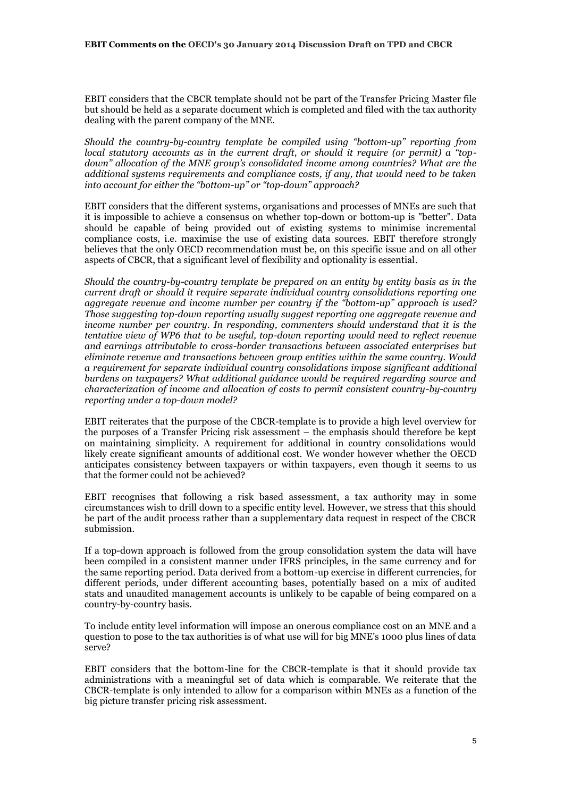EBIT considers that the CBCR template should not be part of the Transfer Pricing Master file but should be held as a separate document which is completed and filed with the tax authority dealing with the parent company of the MNE.

*Should the country-by-country template be compiled using "bottom-up" reporting from local statutory accounts as in the current draft, or should it require (or permit) a "topdown" allocation of the MNE group's consolidated income among countries? What are the additional systems requirements and compliance costs, if any, that would need to be taken into account for either the "bottom-up" or "top-down" approach?* 

EBIT considers that the different systems, organisations and processes of MNEs are such that it is impossible to achieve a consensus on whether top-down or bottom-up is "better". Data should be capable of being provided out of existing systems to minimise incremental compliance costs, i.e. maximise the use of existing data sources. EBIT therefore strongly believes that the only OECD recommendation must be, on this specific issue and on all other aspects of CBCR, that a significant level of flexibility and optionality is essential.

*Should the country-by-country template be prepared on an entity by entity basis as in the current draft or should it require separate individual country consolidations reporting one aggregate revenue and income number per country if the "bottom-up" approach is used? Those suggesting top-down reporting usually suggest reporting one aggregate revenue and*  income number per country. In responding, commenters should understand that it is the *tentative view of WP6 that to be useful, top-down reporting would need to reflect revenue and earnings attributable to cross-border transactions between associated enterprises but eliminate revenue and transactions between group entities within the same country. Would a requirement for separate individual country consolidations impose significant additional burdens on taxpayers? What additional guidance would be required regarding source and characterization of income and allocation of costs to permit consistent country-by-country reporting under a top-down model?*

EBIT reiterates that the purpose of the CBCR-template is to provide a high level overview for the purposes of a Transfer Pricing risk assessment – the emphasis should therefore be kept on maintaining simplicity. A requirement for additional in country consolidations would likely create significant amounts of additional cost. We wonder however whether the OECD anticipates consistency between taxpayers or within taxpayers, even though it seems to us that the former could not be achieved?

EBIT recognises that following a risk based assessment, a tax authority may in some circumstances wish to drill down to a specific entity level. However, we stress that this should be part of the audit process rather than a supplementary data request in respect of the CBCR submission.

If a top-down approach is followed from the group consolidation system the data will have been compiled in a consistent manner under IFRS principles, in the same currency and for the same reporting period. Data derived from a bottom-up exercise in different currencies, for different periods, under different accounting bases, potentially based on a mix of audited stats and unaudited management accounts is unlikely to be capable of being compared on a country-by-country basis.

To include entity level information will impose an onerous compliance cost on an MNE and a question to pose to the tax authorities is of what use will for big MNE's 1000 plus lines of data serve?

EBIT considers that the bottom-line for the CBCR-template is that it should provide tax administrations with a meaningful set of data which is comparable. We reiterate that the CBCR-template is only intended to allow for a comparison within MNEs as a function of the big picture transfer pricing risk assessment.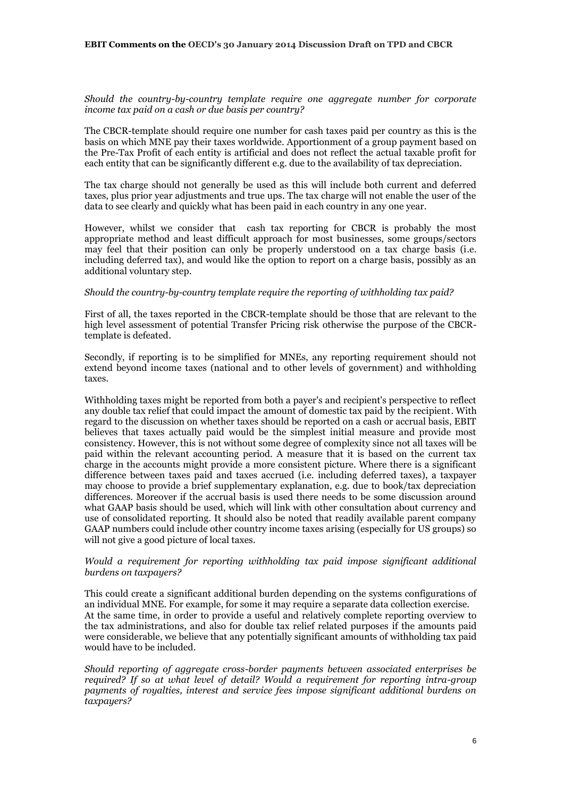#### **EBIT Comments on the OECD's 30 January 2014 Discussion Draft on TPD and CBCR**

*Should the country-by-country template require one aggregate number for corporate income tax paid on a cash or due basis per country?* 

The CBCR-template should require one number for cash taxes paid per country as this is the basis on which MNE pay their taxes worldwide. Apportionment of a group payment based on the Pre-Tax Profit of each entity is artificial and does not reflect the actual taxable profit for each entity that can be significantly different e.g. due to the availability of tax depreciation.

The tax charge should not generally be used as this will include both current and deferred taxes, plus prior year adjustments and true ups. The tax charge will not enable the user of the data to see clearly and quickly what has been paid in each country in any one year.

However, whilst we consider that cash tax reporting for CBCR is probably the most appropriate method and least difficult approach for most businesses, some groups/sectors may feel that their position can only be properly understood on a tax charge basis (i.e. including deferred tax), and would like the option to report on a charge basis, possibly as an additional voluntary step.

## *Should the country-by-country template require the reporting of withholding tax paid?*

First of all, the taxes reported in the CBCR-template should be those that are relevant to the high level assessment of potential Transfer Pricing risk otherwise the purpose of the CBCRtemplate is defeated.

Secondly, if reporting is to be simplified for MNEs, any reporting requirement should not extend beyond income taxes (national and to other levels of government) and withholding taxes.

Withholding taxes might be reported from both a payer's and recipient's perspective to reflect any double tax relief that could impact the amount of domestic tax paid by the recipient. With regard to the discussion on whether taxes should be reported on a cash or accrual basis, EBIT believes that taxes actually paid would be the simplest initial measure and provide most consistency. However, this is not without some degree of complexity since not all taxes will be paid within the relevant accounting period. A measure that it is based on the current tax charge in the accounts might provide a more consistent picture. Where there is a significant difference between taxes paid and taxes accrued (i.e. including deferred taxes), a taxpayer may choose to provide a brief supplementary explanation, e.g. due to book/tax depreciation differences. Moreover if the accrual basis is used there needs to be some discussion around what GAAP basis should be used, which will link with other consultation about currency and use of consolidated reporting. It should also be noted that readily available parent company GAAP numbers could include other country income taxes arising (especially for US groups) so will not give a good picture of local taxes.

### *Would a requirement for reporting withholding tax paid impose significant additional burdens on taxpayers?*

This could create a significant additional burden depending on the systems configurations of an individual MNE. For example, for some it may require a separate data collection exercise. At the same time, in order to provide a useful and relatively complete reporting overview to the tax administrations, and also for double tax relief related purposes if the amounts paid were considerable, we believe that any potentially significant amounts of withholding tax paid would have to be included.

*Should reporting of aggregate cross-border payments between associated enterprises be required? If so at what level of detail? Would a requirement for reporting intra-group payments of royalties, interest and service fees impose significant additional burdens on taxpayers?*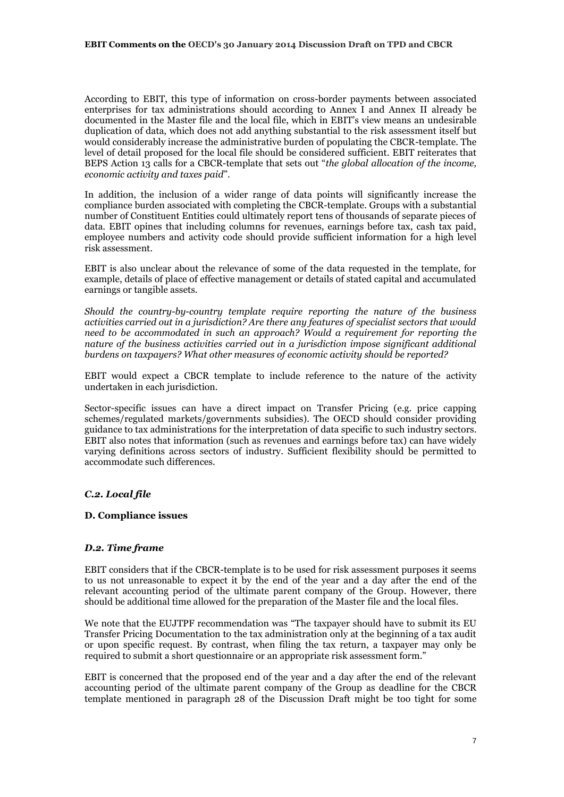According to EBIT, this type of information on cross-border payments between associated enterprises for tax administrations should according to Annex I and Annex II already be documented in the Master file and the local file, which in EBIT's view means an undesirable duplication of data, which does not add anything substantial to the risk assessment itself but would considerably increase the administrative burden of populating the CBCR-template. The level of detail proposed for the local file should be considered sufficient. EBIT reiterates that BEPS Action 13 calls for a CBCR-template that sets out "*the global allocation of the income, economic activity and taxes paid*".

In addition, the inclusion of a wider range of data points will significantly increase the compliance burden associated with completing the CBCR-template. Groups with a substantial number of Constituent Entities could ultimately report tens of thousands of separate pieces of data. EBIT opines that including columns for revenues, earnings before tax, cash tax paid, employee numbers and activity code should provide sufficient information for a high level risk assessment.

EBIT is also unclear about the relevance of some of the data requested in the template, for example, details of place of effective management or details of stated capital and accumulated earnings or tangible assets.

*Should the country-by-country template require reporting the nature of the business activities carried out in a jurisdiction? Are there any features of specialist sectors that would need to be accommodated in such an approach? Would a requirement for reporting the nature of the business activities carried out in a jurisdiction impose significant additional burdens on taxpayers? What other measures of economic activity should be reported?* 

EBIT would expect a CBCR template to include reference to the nature of the activity undertaken in each jurisdiction.

Sector-specific issues can have a direct impact on Transfer Pricing (e.g. price capping schemes/regulated markets/governments subsidies). The OECD should consider providing guidance to tax administrations for the interpretation of data specific to such industry sectors. EBIT also notes that information (such as revenues and earnings before tax) can have widely varying definitions across sectors of industry. Sufficient flexibility should be permitted to accommodate such differences.

# *C.2. Local file*

#### **D. Compliance issues**

#### *D.2. Time frame*

EBIT considers that if the CBCR-template is to be used for risk assessment purposes it seems to us not unreasonable to expect it by the end of the year and a day after the end of the relevant accounting period of the ultimate parent company of the Group. However, there should be additional time allowed for the preparation of the Master file and the local files.

We note that the EUJTPF recommendation was "The taxpayer should have to submit its EU Transfer Pricing Documentation to the tax administration only at the beginning of a tax audit or upon specific request. By contrast, when filing the tax return, a taxpayer may only be required to submit a short questionnaire or an appropriate risk assessment form."

EBIT is concerned that the proposed end of the year and a day after the end of the relevant accounting period of the ultimate parent company of the Group as deadline for the CBCR template mentioned in paragraph 28 of the Discussion Draft might be too tight for some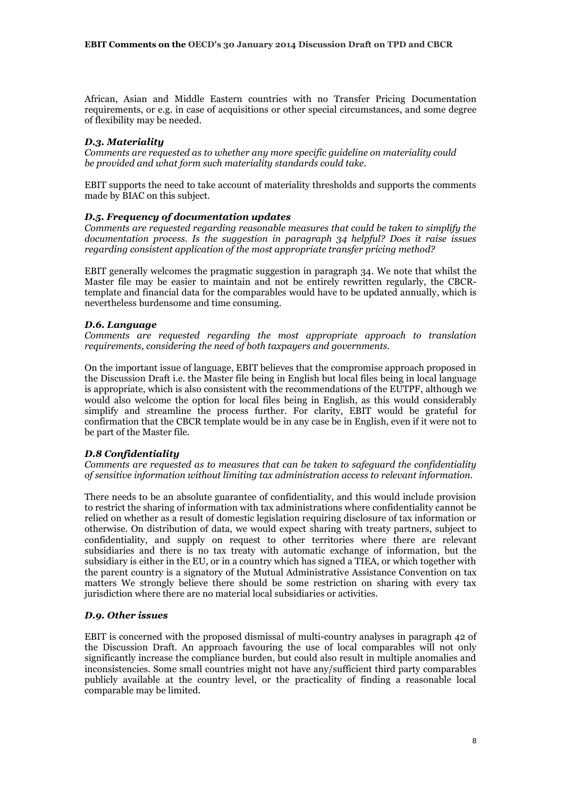African, Asian and Middle Eastern countries with no Transfer Pricing Documentation requirements, or e.g. in case of acquisitions or other special circumstances, and some degree of flexibility may be needed.

## *D.3. Materiality*

*Comments are requested as to whether any more specific guideline on materiality could be provided and what form such materiality standards could take.* 

EBIT supports the need to take account of materiality thresholds and supports the comments made by BIAC on this subject.

#### *D.5. Frequency of documentation updates*

*Comments are requested regarding reasonable measures that could be taken to simplify the documentation process. Is the suggestion in paragraph 34 helpful? Does it raise issues regarding consistent application of the most appropriate transfer pricing method?*

EBIT generally welcomes the pragmatic suggestion in paragraph 34. We note that whilst the Master file may be easier to maintain and not be entirely rewritten regularly, the CBCRtemplate and financial data for the comparables would have to be updated annually, which is nevertheless burdensome and time consuming.

#### *D.6. Language*

*Comments are requested regarding the most appropriate approach to translation requirements, considering the need of both taxpayers and governments.*

On the important issue of language, EBIT believes that the compromise approach proposed in the Discussion Draft i.e. the Master file being in English but local files being in local language is appropriate, which is also consistent with the recommendations of the EUTPF, although we would also welcome the option for local files being in English, as this would considerably simplify and streamline the process further. For clarity, EBIT would be grateful for confirmation that the CBCR template would be in any case be in English, even if it were not to be part of the Master file.

#### *D.8 Confidentiality*

*Comments are requested as to measures that can be taken to safeguard the confidentiality of sensitive information without limiting tax administration access to relevant information.*

There needs to be an absolute guarantee of confidentiality, and this would include provision to restrict the sharing of information with tax administrations where confidentiality cannot be relied on whether as a result of domestic legislation requiring disclosure of tax information or otherwise. On distribution of data, we would expect sharing with treaty partners, subject to confidentiality, and supply on request to other territories where there are relevant subsidiaries and there is no tax treaty with automatic exchange of information, but the subsidiary is either in the EU, or in a country which has signed a TIEA, or which together with the parent country is a signatory of the Mutual Administrative Assistance Convention on tax matters We strongly believe there should be some restriction on sharing with every tax jurisdiction where there are no material local subsidiaries or activities.

#### *D.9. Other issues*

EBIT is concerned with the proposed dismissal of multi-country analyses in paragraph 42 of the Discussion Draft. An approach favouring the use of local comparables will not only significantly increase the compliance burden, but could also result in multiple anomalies and inconsistencies. Some small countries might not have any/sufficient third party comparables publicly available at the country level, or the practicality of finding a reasonable local comparable may be limited.